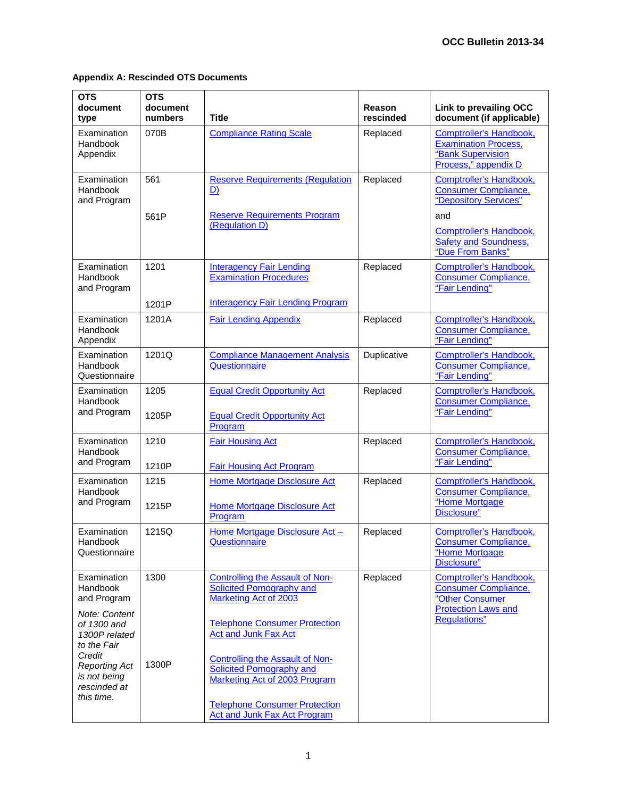| <b>OTS</b><br>document<br>type                                                                                                           | <b>OTS</b><br>document<br>numbers | <b>Title</b>                                                                                                                                                                                                                                      | Reason<br>rescinded | <b>Link to prevailing OCC</b><br>document (if applicable)                                                                                         |
|------------------------------------------------------------------------------------------------------------------------------------------|-----------------------------------|---------------------------------------------------------------------------------------------------------------------------------------------------------------------------------------------------------------------------------------------------|---------------------|---------------------------------------------------------------------------------------------------------------------------------------------------|
| Examination<br>Handbook<br>Appendix                                                                                                      | 070B                              | <b>Compliance Rating Scale</b>                                                                                                                                                                                                                    | Replaced            | <b>Comptroller's Handbook,</b><br><b>Examination Process,</b><br>"Bank Supervision<br>Process," appendix D                                        |
| Examination<br>Handbook<br>and Program                                                                                                   | 561<br>561P                       | <b>Reserve Requirements (Regulation</b><br><u>D)</u><br><b>Reserve Requirements Program</b><br>(Regulation D)                                                                                                                                     | Replaced            | Comptroller's Handbook,<br><b>Consumer Compliance,</b><br>"Depository Services"<br>and<br>Comptroller's Handbook,<br><b>Safety and Soundness,</b> |
| Examination<br>Handbook<br>and Program                                                                                                   | 1201<br>1201P                     | <b>Interagency Fair Lending</b><br><b>Examination Procedures</b><br><b>Interagency Fair Lending Program</b>                                                                                                                                       | Replaced            | "Due From Banks"<br>Comptroller's Handbook,<br><b>Consumer Compliance,</b><br>"Fair Lending"                                                      |
| Examination<br>Handbook<br>Appendix                                                                                                      | 1201A                             | <b>Fair Lending Appendix</b>                                                                                                                                                                                                                      | Replaced            | <b>Comptroller's Handbook,</b><br><b>Consumer Compliance,</b><br>"Fair Lending"                                                                   |
| Examination<br>Handbook<br>Questionnaire                                                                                                 | 1201Q                             | <b>Compliance Management Analysis</b><br>Questionnaire                                                                                                                                                                                            | Duplicative         | Comptroller's Handbook,<br><b>Consumer Compliance,</b><br>"Fair Lending"                                                                          |
| Examination<br>Handbook<br>and Program                                                                                                   | 1205<br>1205P                     | <b>Equal Credit Opportunity Act</b><br><b>Equal Credit Opportunity Act</b><br>Program                                                                                                                                                             | Replaced            | Comptroller's Handbook,<br><b>Consumer Compliance,</b><br>"Fair Lending"                                                                          |
| Examination<br>Handbook<br>and Program                                                                                                   | 1210<br>1210P                     | <b>Fair Housing Act</b><br><b>Fair Housing Act Program</b>                                                                                                                                                                                        | Replaced            | Comptroller's Handbook,<br><b>Consumer Compliance,</b><br>"Fair Lending"                                                                          |
| Examination<br>Handbook<br>and Program                                                                                                   | 1215<br>1215P                     | Home Mortgage Disclosure Act<br>Home Mortgage Disclosure Act<br>Program                                                                                                                                                                           | Replaced            | Comptroller's Handbook,<br><b>Consumer Compliance,</b><br>"Home Mortgage<br>Disclosure"                                                           |
| Examination<br>Handbook<br>Questionnaire                                                                                                 | 1215Q                             | Home Mortgage Disclosure Act -<br>Questionnaire                                                                                                                                                                                                   | Replaced            | <b>Comptroller's Handbook,</b><br><b>Consumer Compliance,</b><br>"Home Mortgage<br>Disclosure"                                                    |
| Examination<br>Handbook<br>and Program<br>Note: Content<br>of 1300 and<br>1300P related<br>to the Fair<br>Credit<br><b>Reporting Act</b> | 1300<br>1300P                     | <b>Controlling the Assault of Non-</b><br><b>Solicited Pornography and</b><br>Marketing Act of 2003<br><b>Telephone Consumer Protection</b><br><b>Act and Junk Fax Act</b><br><b>Controlling the Assault of Non-</b><br>Solicited Pornography and | Replaced            | Comptroller's Handbook,<br><b>Consumer Compliance,</b><br>"Other Consumer<br><b>Protection Laws and</b><br><b>Regulations</b> "                   |
| is not being<br>rescinded at<br>this time.                                                                                               |                                   | Marketing Act of 2003 Program<br><b>Telephone Consumer Protection</b><br>Act and Junk Fax Act Program                                                                                                                                             |                     |                                                                                                                                                   |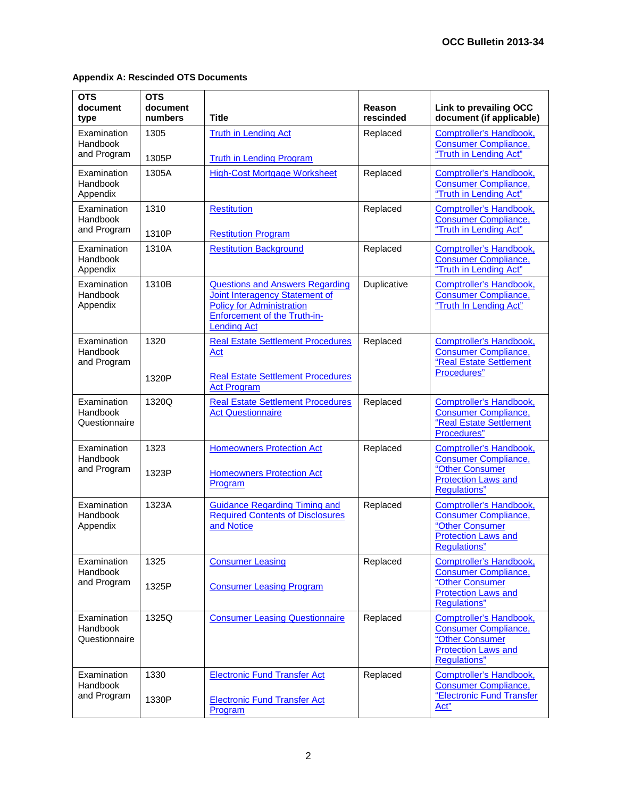| <b>OTS</b><br>document<br>type           | <b>OTS</b><br>document<br>numbers | <b>Title</b>                                                                                                                                                       | Reason<br>rescinded | Link to prevailing OCC<br>document (if applicable)                                                                                     |
|------------------------------------------|-----------------------------------|--------------------------------------------------------------------------------------------------------------------------------------------------------------------|---------------------|----------------------------------------------------------------------------------------------------------------------------------------|
| Examination<br>Handbook<br>and Program   | 1305<br>1305P                     | <b>Truth in Lending Act</b><br><b>Truth in Lending Program</b>                                                                                                     | Replaced            | <b>Comptroller's Handbook,</b><br><b>Consumer Compliance,</b><br>"Truth in Lending Act"                                                |
| Examination<br>Handbook<br>Appendix      | 1305A                             | <b>High-Cost Mortgage Worksheet</b>                                                                                                                                | Replaced            | <b>Comptroller's Handbook,</b><br><b>Consumer Compliance,</b><br>"Truth in Lending Act"                                                |
| Examination<br>Handbook<br>and Program   | 1310<br>1310P                     | <b>Restitution</b><br><b>Restitution Program</b>                                                                                                                   | Replaced            | Comptroller's Handbook,<br><b>Consumer Compliance,</b><br>"Truth in Lending Act"                                                       |
| Examination<br>Handbook<br>Appendix      | 1310A                             | <b>Restitution Background</b>                                                                                                                                      | Replaced            | <b>Comptroller's Handbook,</b><br><b>Consumer Compliance,</b><br>"Truth in Lending Act"                                                |
| Examination<br>Handbook<br>Appendix      | 1310B                             | <b>Questions and Answers Regarding</b><br>Joint Interagency Statement of<br><b>Policy for Administration</b><br>Enforcement of the Truth-in-<br><b>Lending Act</b> | Duplicative         | <b>Comptroller's Handbook,</b><br><b>Consumer Compliance,</b><br>"Truth In Lending Act"                                                |
| Examination<br>Handbook<br>and Program   | 1320<br>1320P                     | <b>Real Estate Settlement Procedures</b><br><u>Act</u><br><b>Real Estate Settlement Procedures</b>                                                                 | Replaced            | <b>Comptroller's Handbook,</b><br><b>Consumer Compliance,</b><br>"Real Estate Settlement<br>Procedures"                                |
| Examination<br>Handbook<br>Questionnaire | 1320Q                             | <b>Act Program</b><br><b>Real Estate Settlement Procedures</b><br><b>Act Questionnaire</b>                                                                         | Replaced            | Comptroller's Handbook,<br><b>Consumer Compliance,</b><br>"Real Estate Settlement<br>Procedures"                                       |
| Examination<br>Handbook<br>and Program   | 1323<br>1323P                     | <b>Homeowners Protection Act</b><br><b>Homeowners Protection Act</b><br>Program                                                                                    | Replaced            | <b>Comptroller's Handbook,</b><br>Consumer Compliance,<br>"Other Consumer<br><b>Protection Laws and</b><br><b>Regulations</b> "        |
| Examination<br>Handbook<br>Appendix      | 1323A                             | <b>Guidance Regarding Timing and</b><br><b>Required Contents of Disclosures</b><br>and Notice                                                                      | Replaced            | <b>Comptroller's Handbook,</b><br><b>Consumer Compliance,</b><br>"Other Consumer<br><b>Protection Laws and</b><br><b>Regulations</b> " |
| Examination<br>Handbook<br>and Program   | 1325<br>1325P                     | <b>Consumer Leasing</b><br><b>Consumer Leasing Program</b>                                                                                                         | Replaced            | Comptroller's Handbook,<br><b>Consumer Compliance,</b><br>"Other Consumer<br><b>Protection Laws and</b><br><b>Regulations</b> "        |
| Examination<br>Handbook<br>Questionnaire | 1325Q                             | <b>Consumer Leasing Questionnaire</b>                                                                                                                              | Replaced            | Comptroller's Handbook,<br><b>Consumer Compliance,</b><br>"Other Consumer<br><b>Protection Laws and</b><br><b>Regulations</b> "        |
| Examination<br>Handbook<br>and Program   | 1330<br>1330P                     | <b>Electronic Fund Transfer Act</b><br><b>Electronic Fund Transfer Act</b><br>Program                                                                              | Replaced            | <b>Comptroller's Handbook,</b><br><b>Consumer Compliance,</b><br>"Electronic Fund Transfer<br>Act"                                     |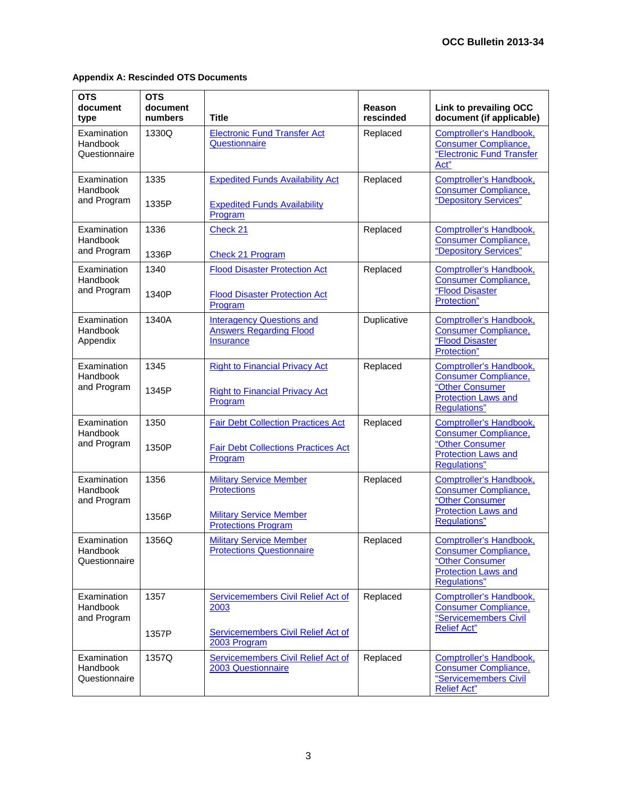| <b>OTS</b><br>document<br>type           | <b>OTS</b><br>document<br>numbers | <b>Title</b>                                                                                       | Reason<br>rescinded | <b>Link to prevailing OCC</b><br>document (if applicable)                                                                             |
|------------------------------------------|-----------------------------------|----------------------------------------------------------------------------------------------------|---------------------|---------------------------------------------------------------------------------------------------------------------------------------|
| Examination<br>Handbook<br>Questionnaire | 1330Q                             | <b>Electronic Fund Transfer Act</b><br>Questionnaire                                               | Replaced            | <b>Comptroller's Handbook,</b><br><b>Consumer Compliance,</b><br>"Electronic Fund Transfer<br>Act"                                    |
| Examination<br>Handbook<br>and Program   | 1335<br>1335P                     | <b>Expedited Funds Availability Act</b><br><b>Expedited Funds Availability</b>                     | Replaced            | Comptroller's Handbook,<br><b>Consumer Compliance,</b><br>"Depository Services"                                                       |
|                                          |                                   | Program                                                                                            |                     |                                                                                                                                       |
| Examination<br>Handbook<br>and Program   | 1336                              | Check 21                                                                                           | Replaced            | Comptroller's Handbook,<br><b>Consumer Compliance,</b><br>"Depository Services"                                                       |
|                                          | 1336P<br>1340                     | <b>Check 21 Program</b>                                                                            |                     |                                                                                                                                       |
| Examination<br>Handbook<br>and Program   | 1340P                             | <b>Flood Disaster Protection Act</b><br><b>Flood Disaster Protection Act</b><br>Program            | Replaced            | <b>Comptroller's Handbook,</b><br><b>Consumer Compliance,</b><br>"Flood Disaster<br>Protection"                                       |
| Examination<br>Handbook<br>Appendix      | 1340A                             | <b>Interagency Questions and</b><br><b>Answers Regarding Flood</b><br><b>Insurance</b>             | Duplicative         | Comptroller's Handbook,<br><b>Consumer Compliance,</b><br>"Flood Disaster<br>Protection"                                              |
| Examination<br>Handbook<br>and Program   | 1345<br>1345P                     | <b>Right to Financial Privacy Act</b><br><b>Right to Financial Privacy Act</b><br>Program          | Replaced            | <b>Comptroller's Handbook,</b><br><b>Consumer Compliance,</b><br>"Other Consumer<br><b>Protection Laws and</b><br><b>Regulations"</b> |
| Examination<br>Handbook<br>and Program   | 1350<br>1350P                     | <b>Fair Debt Collection Practices Act</b><br><b>Fair Debt Collections Practices Act</b><br>Program | Replaced            | Comptroller's Handbook,<br><b>Consumer Compliance,</b><br>"Other Consumer<br><b>Protection Laws and</b><br><b>Regulations</b> "       |
| Examination<br>Handbook<br>and Program   | 1356<br>1356P                     | <b>Military Service Member</b><br><b>Protections</b><br><b>Military Service Member</b>             | Replaced            | Comptroller's Handbook,<br><b>Consumer Compliance,</b><br>"Other Consumer<br><b>Protection Laws and</b><br><b>Regulations"</b>        |
| Examination<br>Handbook<br>Questionnaire | 1356Q                             | <b>Protections Program</b><br><b>Military Service Member</b><br><b>Protections Questionnaire</b>   | Replaced            | <b>Comptroller's Handbook.</b><br><b>Consumer Compliance,</b><br>"Other Consumer<br><b>Protection Laws and</b><br><b>Regulations"</b> |
| Examination<br>Handbook<br>and Program   | 1357<br>1357P                     | Servicemembers Civil Relief Act of<br>2003<br>Servicemembers Civil Relief Act of                   | Replaced            | Comptroller's Handbook,<br><b>Consumer Compliance,</b><br>"Servicemembers Civil<br><b>Relief Act"</b>                                 |
|                                          |                                   | 2003 Program                                                                                       |                     |                                                                                                                                       |
| Examination<br>Handbook<br>Questionnaire | 1357Q                             | Servicemembers Civil Relief Act of<br>2003 Questionnaire                                           | Replaced            | Comptroller's Handbook,<br><b>Consumer Compliance,</b><br>"Servicemembers Civil<br><b>Relief Act"</b>                                 |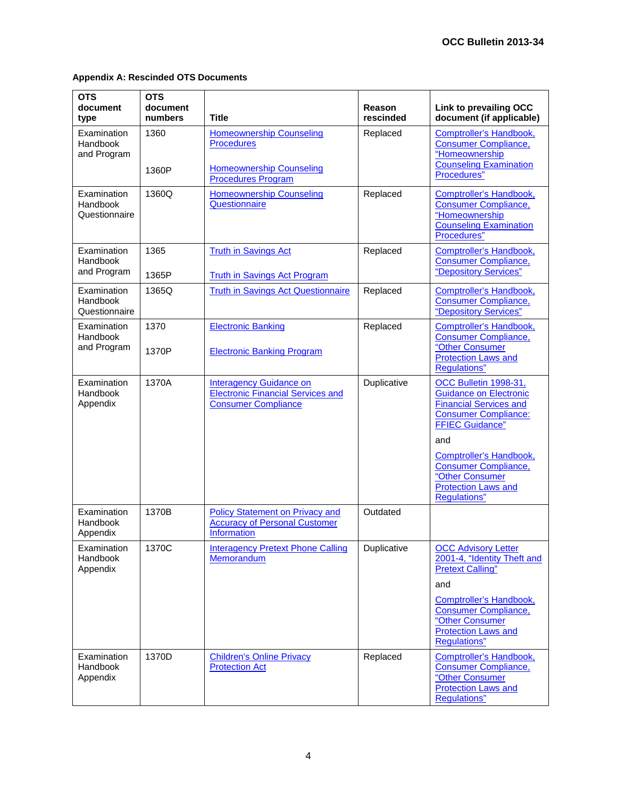| <b>OTS</b><br>document<br>type           | <b>OTS</b><br>document<br>numbers | <b>Title</b>                                                                                             | Reason<br>rescinded | Link to prevailing OCC<br>document (if applicable)                                                                                                                                                                                                                                        |
|------------------------------------------|-----------------------------------|----------------------------------------------------------------------------------------------------------|---------------------|-------------------------------------------------------------------------------------------------------------------------------------------------------------------------------------------------------------------------------------------------------------------------------------------|
| Examination<br>Handbook<br>and Program   | 1360<br>1360P                     | <b>Homeownership Counseling</b><br><b>Procedures</b><br><b>Homeownership Counseling</b>                  | Replaced            | <b>Comptroller's Handbook,</b><br><b>Consumer Compliance,</b><br>"Homeownership<br><b>Counseling Examination</b><br>Procedures"                                                                                                                                                           |
| Examination<br>Handbook<br>Questionnaire | 1360Q                             | <b>Procedures Program</b><br><b>Homeownership Counseling</b><br>Questionnaire                            | Replaced            | <b>Comptroller's Handbook,</b><br><b>Consumer Compliance,</b><br>"Homeownership<br><b>Counseling Examination</b><br>Procedures"                                                                                                                                                           |
| Examination<br>Handbook<br>and Program   | 1365<br>1365P                     | <b>Truth in Savings Act</b><br><b>Truth in Savings Act Program</b>                                       | Replaced            | <b>Comptroller's Handbook,</b><br><b>Consumer Compliance,</b><br>"Depository Services"                                                                                                                                                                                                    |
| Examination<br>Handbook<br>Questionnaire | 1365Q                             | <b>Truth in Savings Act Questionnaire</b>                                                                | Replaced            | Comptroller's Handbook,<br><b>Consumer Compliance,</b><br>"Depository Services"                                                                                                                                                                                                           |
| Examination<br>Handbook<br>and Program   | 1370<br>1370P                     | <b>Electronic Banking</b><br><b>Electronic Banking Program</b>                                           | Replaced            | Comptroller's Handbook,<br><b>Consumer Compliance,</b><br>"Other Consumer<br><b>Protection Laws and</b><br><b>Regulations</b> "                                                                                                                                                           |
| Examination<br>Handbook<br>Appendix      | 1370A                             | <b>Interagency Guidance on</b><br><b>Electronic Financial Services and</b><br><b>Consumer Compliance</b> | Duplicative         | OCC Bulletin 1998-31,<br><b>Guidance on Electronic</b><br><b>Financial Services and</b><br><b>Consumer Compliance:</b><br><b>FFIEC Guidance"</b><br>and<br>Comptroller's Handbook,<br><b>Consumer Compliance,</b><br>"Other Consumer<br><b>Protection Laws and</b><br><b>Regulations"</b> |
| Examination<br>Handbook<br>Appendix      | 1370B                             | <b>Policy Statement on Privacy and</b><br><b>Accuracy of Personal Customer</b><br>Information            | Outdated            |                                                                                                                                                                                                                                                                                           |
| Examination<br>Handbook<br>Appendix      | 1370C                             | <b>Interagency Pretext Phone Calling</b><br>Memorandum                                                   | Duplicative         | <b>OCC Advisory Letter</b><br>2001-4, "Identity Theft and<br><b>Pretext Calling"</b><br>and<br><b>Comptroller's Handbook,</b><br><b>Consumer Compliance,</b><br>"Other Consumer<br><b>Protection Laws and</b><br>Regulations"                                                             |
| Examination<br>Handbook<br>Appendix      | 1370D                             | <b>Children's Online Privacy</b><br><b>Protection Act</b>                                                | Replaced            | <b>Comptroller's Handbook,</b><br><b>Consumer Compliance,</b><br>"Other Consumer<br><b>Protection Laws and</b><br><b>Regulations</b> "                                                                                                                                                    |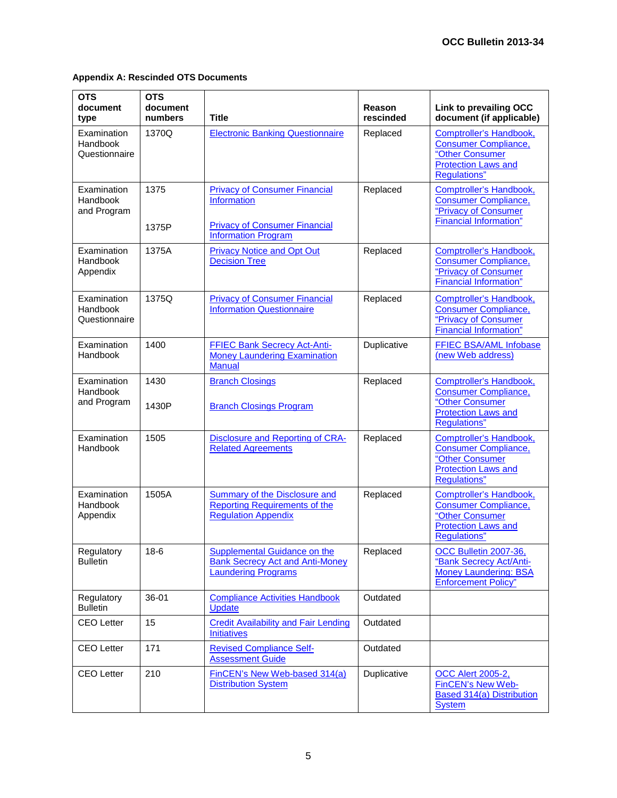| <b>OTS</b><br>document<br>type           | <b>OTS</b><br>document<br>numbers | <b>Title</b>                                                                                         | Reason<br>rescinded | Link to prevailing OCC<br>document (if applicable)                                                                              |
|------------------------------------------|-----------------------------------|------------------------------------------------------------------------------------------------------|---------------------|---------------------------------------------------------------------------------------------------------------------------------|
| Examination<br>Handbook<br>Questionnaire | 1370Q                             | <b>Electronic Banking Questionnaire</b>                                                              | Replaced            | <b>Comptroller's Handbook,</b><br><b>Consumer Compliance,</b><br>"Other Consumer<br>Protection Laws and<br><b>Regulations</b> " |
| Examination<br>Handbook<br>and Program   | 1375<br>1375P                     | <b>Privacy of Consumer Financial</b><br>Information<br><b>Privacy of Consumer Financial</b>          | Replaced            | <b>Comptroller's Handbook,</b><br><b>Consumer Compliance,</b><br>"Privacy of Consumer<br><b>Financial Information"</b>          |
|                                          |                                   | <b>Information Program</b>                                                                           |                     |                                                                                                                                 |
| Examination<br>Handbook<br>Appendix      | 1375A                             | <b>Privacy Notice and Opt Out</b><br><b>Decision Tree</b>                                            | Replaced            | <b>Comptroller's Handbook,</b><br><b>Consumer Compliance,</b><br>"Privacy of Consumer<br><b>Financial Information"</b>          |
| Examination<br>Handbook<br>Questionnaire | 1375Q                             | <b>Privacy of Consumer Financial</b><br><b>Information Questionnaire</b>                             | Replaced            | <b>Comptroller's Handbook,</b><br><b>Consumer Compliance,</b><br>"Privacy of Consumer<br><b>Financial Information"</b>          |
| Examination<br>Handbook                  | 1400                              | <b>FFIEC Bank Secrecy Act-Anti-</b><br><b>Money Laundering Examination</b><br><b>Manual</b>          | Duplicative         | FFIEC BSA/AML Infobase<br>(new Web address)                                                                                     |
| Examination<br>Handbook<br>and Program   | 1430<br>1430P                     | <b>Branch Closings</b><br><b>Branch Closings Program</b>                                             | Replaced            | Comptroller's Handbook,<br><b>Consumer Compliance,</b><br>"Other Consumer<br><b>Protection Laws and</b><br><b>Regulations</b> " |
| Examination<br>Handbook                  | 1505                              | <b>Disclosure and Reporting of CRA-</b><br><b>Related Agreements</b>                                 | Replaced            | Comptroller's Handbook,<br><b>Consumer Compliance,</b><br>"Other Consumer<br><b>Protection Laws and</b><br><b>Regulations"</b>  |
| Examination<br>Handbook<br>Appendix      | 1505A                             | Summary of the Disclosure and<br><b>Reporting Requirements of the</b><br><b>Regulation Appendix</b>  | Replaced            | Comptroller's Handbook,<br><b>Consumer Compliance,</b><br>"Other Consumer<br><b>Protection Laws and</b><br>Regulations"         |
| Regulatory<br><b>Bulletin</b>            | $18-6$                            | Supplemental Guidance on the<br><b>Bank Secrecy Act and Anti-Money</b><br><b>Laundering Programs</b> | Replaced            | OCC Bulletin 2007-36,<br>"Bank Secrecy Act/Anti-<br><b>Money Laundering: BSA</b><br><b>Enforcement Policy"</b>                  |
| Regulatory<br><b>Bulletin</b>            | 36-01                             | <b>Compliance Activities Handbook</b><br>Update                                                      | Outdated            |                                                                                                                                 |
| <b>CEO Letter</b>                        | 15                                | <b>Credit Availability and Fair Lending</b><br><b>Initiatives</b>                                    | Outdated            |                                                                                                                                 |
| <b>CEO Letter</b>                        | 171                               | <b>Revised Compliance Self-</b><br><b>Assessment Guide</b>                                           | Outdated            |                                                                                                                                 |
| <b>CEO Letter</b>                        | 210                               | FinCEN's New Web-based 314(a)<br><b>Distribution System</b>                                          | Duplicative         | <b>OCC Alert 2005-2,</b><br><b>FinCEN's New Web-</b><br><b>Based 314(a) Distribution</b><br><b>System</b>                       |